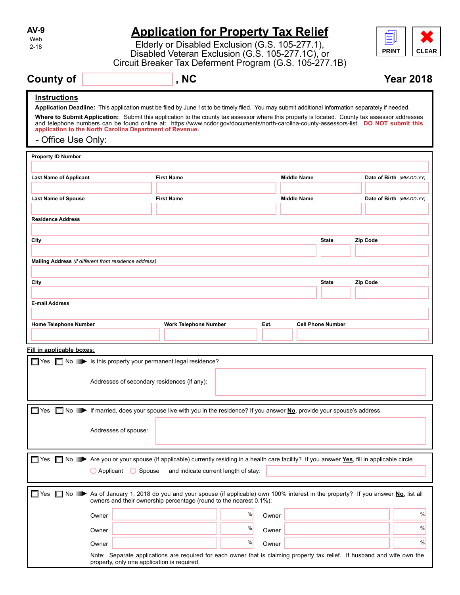| AV-9 |
|------|
| Web  |
| 2-18 |

# **Application for Property Tax Relief**

Elderly or Disabled Exclusion (G.S. 105-277.1), Disabled Veteran Exclusion (G.S. 105-277.1C), or Circuit Breaker Tax Deferment Program (G.S. 105-277.1B) **Application for Property Tax Relief<br>Elderly or Disabled Exclusion (G.S. 105-277.1),<br>Disabled Veteran Exclusion (G.S. 105-277.1C), or<br>Circuit Breaker Tax Deferment Program (G.S. 105-277.1B)<br>NC<br>Pearly** 



# **County of the county of the county of the county of the county of the county of the county of the county of the county of the county of the county of the county of the county of the county of the county of the county of**

# **Instructions**

**Application Deadline:** This application must be filed by June 1st to be timely filed. You may submit additional information separately if needed.

**Where to Submit Application:** Submit this application to the county tax assessor where this property is located. County tax assessor addresses and telephone numbers can be found online at: https://www.ncdor.gov/documents/north-carolina-county-assessors-list. **DO NOT submit this application to the North Carolina Department of Revenue.**

# - Office Use Only:

| <b>Property ID Number</b>                                                                                                                          |                                                                                                                           |   |       |                          |          |                          |
|----------------------------------------------------------------------------------------------------------------------------------------------------|---------------------------------------------------------------------------------------------------------------------------|---|-------|--------------------------|----------|--------------------------|
|                                                                                                                                                    |                                                                                                                           |   |       |                          |          |                          |
| <b>Last Name of Applicant</b>                                                                                                                      | <b>First Name</b>                                                                                                         |   |       | <b>Middle Name</b>       |          | Date of Birth (MM-DD-YY) |
|                                                                                                                                                    |                                                                                                                           |   |       |                          |          |                          |
| <b>Last Name of Spouse</b>                                                                                                                         | <b>First Name</b>                                                                                                         |   |       | <b>Middle Name</b>       |          | Date of Birth (MM-DD-YY) |
|                                                                                                                                                    |                                                                                                                           |   |       |                          |          |                          |
| <b>Residence Address</b>                                                                                                                           |                                                                                                                           |   |       |                          |          |                          |
|                                                                                                                                                    |                                                                                                                           |   |       |                          |          |                          |
| City                                                                                                                                               |                                                                                                                           |   |       | <b>State</b>             | Zip Code |                          |
| Mailing Address (if different from residence address)                                                                                              |                                                                                                                           |   |       |                          |          |                          |
|                                                                                                                                                    |                                                                                                                           |   |       |                          |          |                          |
| City                                                                                                                                               |                                                                                                                           |   |       | <b>State</b>             | Zip Code |                          |
|                                                                                                                                                    |                                                                                                                           |   |       |                          |          |                          |
| <b>E-mail Address</b>                                                                                                                              |                                                                                                                           |   |       |                          |          |                          |
|                                                                                                                                                    |                                                                                                                           |   |       |                          |          |                          |
| <b>Home Telephone Number</b>                                                                                                                       | <b>Work Telephone Number</b>                                                                                              |   | Ext.  | <b>Cell Phone Number</b> |          |                          |
|                                                                                                                                                    |                                                                                                                           |   |       |                          |          |                          |
| Fill in applicable boxes:                                                                                                                          |                                                                                                                           |   |       |                          |          |                          |
| ■ Yes ■ No → Is this property your permanent legal residence?                                                                                      |                                                                                                                           |   |       |                          |          |                          |
|                                                                                                                                                    |                                                                                                                           |   |       |                          |          |                          |
| Addresses of secondary residences (if any):                                                                                                        |                                                                                                                           |   |       |                          |          |                          |
|                                                                                                                                                    |                                                                                                                           |   |       |                          |          |                          |
| ■ No ► If married, does your spouse live with you in the residence? If you answer No, provide your spouse's address.<br>$\square$ Yes              |                                                                                                                           |   |       |                          |          |                          |
|                                                                                                                                                    |                                                                                                                           |   |       |                          |          |                          |
| Addresses of spouse:                                                                                                                               |                                                                                                                           |   |       |                          |          |                          |
|                                                                                                                                                    |                                                                                                                           |   |       |                          |          |                          |
|                                                                                                                                                    |                                                                                                                           |   |       |                          |          |                          |
| No Are you or your spouse (if applicable) currently residing in a health care facility? If you answer Yes, fill in applicable circle<br>$\Box$ Yes |                                                                                                                           |   |       |                          |          |                          |
| $O$ Applicant<br>$\bigcirc$ Spouse                                                                                                                 | and indicate current length of stay:                                                                                      |   |       |                          |          |                          |
|                                                                                                                                                    |                                                                                                                           |   |       |                          |          |                          |
| No As of January 1, 2018 do you and your spouse (if applicable) own 100% interest in the property? If you answer No, list all<br>$\Box$ Yes<br>П   | owners and their ownership percentage (round to the nearest 0.1%):                                                        |   |       |                          |          |                          |
| Owner                                                                                                                                              |                                                                                                                           | % | Owner |                          |          | %                        |
| Owner                                                                                                                                              |                                                                                                                           | % | Owner |                          |          | %                        |
| Owner                                                                                                                                              |                                                                                                                           | % | Owner |                          |          | %                        |
|                                                                                                                                                    | Note: Separate applications are required for each owner that is claiming property tax relief. If husband and wife own the |   |       |                          |          |                          |
| property, only one application is required.                                                                                                        |                                                                                                                           |   |       |                          |          |                          |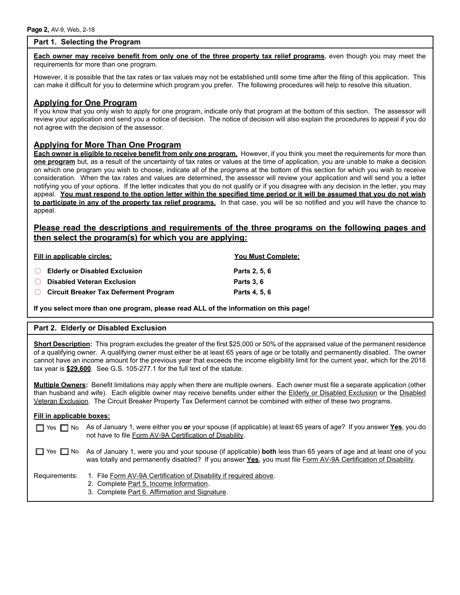## **Part 1. Selecting the Program**

**Each owner may receive benefit from only one of the three property tax relief programs**, even though you may meet the requirements for more than one program.

However, it is possible that the tax rates or tax values may not be established until some time after the filing of this application. This can make it difficult for you to determine which program you prefer. The following procedures will help to resolve this situation.

# **Applying for One Program**

If you know that you only wish to apply for one program, indicate only that program at the bottom of this section. The assessor will review your application and send you a notice of decision. The notice of decision will also explain the procedures to appeal if you do not agree with the decision of the assessor.

# **Applying for More Than One Program**

**Each owner is eligible to receive benefit from only one program.** However, if you think you meet the requirements for more than **one program** but, as a result of the uncertainty of tax rates or values at the time of application, you are unable to make a decision on which one program you wish to choose, indicate all of the programs at the bottom of this section for which you wish to receive consideration. When the tax rates and values are determined, the assessor will review your application and will send you a letter notifying you of your options. If the letter indicates that you do not qualify or if you disagree with any decision in the letter, you may appeal. **You must respond to the option letter within the specified time period or it will be assumed that you do not wish to participate in any of the property tax relief programs.** In that case, you will be so notified and you will have the chance to appeal.

# **Please read the descriptions and requirements of the three programs on the following pages and then select the program(s) for which you are applying:**

| Fill in applicable circles:                        | <b>You Must Complete:</b> |
|----------------------------------------------------|---------------------------|
| <b>Elderly or Disabled Exclusion</b><br>$\bigcirc$ | Parts 2, 5, 6             |
| <b>O</b> Disabled Veteran Exclusion                | <b>Parts 3.6</b>          |
| <b>O</b> Circuit Breaker Tax Deferment Program     | Parts 4, 5, 6             |

**If you select more than one program, please read ALL of the information on this page!**

#### **Part 2. Elderly or Disabled Exclusion**

**Short Description:** This program excludes the greater of the first \$25,000 or 50% of the appraised value of the permanent residence of a qualifying owner. A qualifying owner must either be at least 65 years of age or be totally and permanently disabled. The owner cannot have an income amount for the previous year that exceeds the income eligibility limit for the current year, which for the 2018 tax year is **\$29,600**. See G.S. 105-277.1 for the full text of the statute.

**Multiple Owners:** Benefit limitations may apply when there are multiple owners. Each owner must file a separate application (other than husband and wife). Each eligible owner may receive benefits under either the Elderly or Disabled Exclusion or the Disabled Veteran Exclusion. The Circuit Breaker Property Tax Deferment cannot be combined with either of these two programs.

#### **Fill in applicable boxes:**

| ■ Yes ■ No As of January 1, were either you or your spouse (if applicable) at least 65 years of age? If you answer Yes, you do |
|--------------------------------------------------------------------------------------------------------------------------------|
| not have to file Form AV-9A Certification of Disability.                                                                       |

Yes  $\Box$  No As of January 1, were you and your spouse (if applicable) **both** less than 65 years of age and at least one of you was totally and permanently disabled? If you answer **Yes**, you must file Form AV-9A Certification of Disability.

- Requirements: 1. File Form AV-9A Certification of Disability if required above.
	- 2. Complete Part 5. Income Information.
	- 3. Complete Part 6. Affirmation and Signature.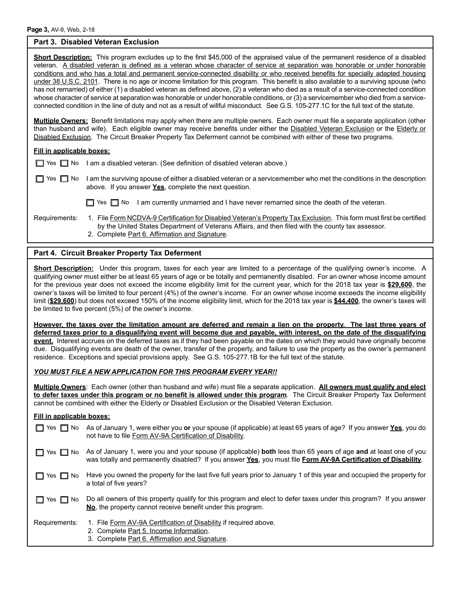#### **Part 3. Disabled Veteran Exclusion**

**Short Description:** This program excludes up to the first \$45,000 of the appraised value of the permanent residence of a disabled veteran. A disabled veteran is defined as a veteran whose character of service at separation was honorable or under honorable conditions and who has a total and permanent service-connected disability or who received benefits for specially adapted housing under 38 U.S.C. 2101. There is no age or income limitation for this program. This benefit is also available to a surviving spouse (who has not remarried) of either (1) a disabled veteran as defined above, (2) a veteran who died as a result of a service-connected condition whose character of service at separation was honorable or under honorable conditions, or (3) a servicemember who died from a serviceconnected condition in the line of duty and not as a result of willful misconduct. See G.S. 105-277.1C for the full text of the statute.

**Multiple Owners:** Benefit limitations may apply when there are multiple owners. Each owner must file a separate application (other than husband and wife). Each eligible owner may receive benefits under either the Disabled Veteran Exclusion or the Elderly or Disabled Exclusion. The Circuit Breaker Property Tax Deferment cannot be combined with either of these two programs.

|  |  | □ Yes □ No I am a disabled veteran. (See definition of disabled veteran above.) |  |
|--|--|---------------------------------------------------------------------------------|--|
|--|--|---------------------------------------------------------------------------------|--|

Yes  $\Box$  No I am the surviving spouse of either a disabled veteran or a servicemember who met the conditions in the description above. If you answer **Yes**, complete the next question.

| Requirements: |  |
|---------------|--|

- $\Box$  Yes  $\Box$  No I am currently unmarried and I have never remarried since the death of the veteran.
- 1. File Form NCDVA-9 Certification for Disabled Veteran's Property Tax Exclusion. This form must first be certified by the United States Department of Veterans Affairs, and then filed with the county tax assessor. 2. Complete Part 6. Affirmation and Signature.

#### **Part 4. Circuit Breaker Property Tax Deferment**

**Short Description:** Under this program, taxes for each year are limited to a percentage of the qualifying owner's income. A qualifying owner must either be at least 65 years of age or be totally and permanently disabled. For an owner whose income amount for the previous year does not exceed the income eligibility limit for the current year, which for the 2018 tax year is **\$29,600**, the owner's taxes will be limited to four percent (4%) of the owner's income. For an owner whose income exceeds the income eligibility limit (**\$29,600**) but does not exceed 150% of the income eligibility limit, which for the 2018 tax year is **\$44,400**, the owner's taxes will be limited to five percent (5%) of the owner's income.

**However, the taxes over the limitation amount are deferred and remain a lien on the property. The last three years of deferred taxes prior to a disqualifying event will become due and payable, with interest, on the date of the disqualifying event.** Interest accrues on the deferred taxes as if they had been payable on the dates on which they would have originally become due. Disqualifying events are death of the owner, transfer of the property, and failure to use the property as the owner's permanent residence. Exceptions and special provisions apply. See G.S. 105-277.1B for the full text of the statute.

#### *YOU MUST FILE A NEW APPLICATION FOR THIS PROGRAM EVERY YEAR!!*

**Multiple Owners**: Each owner (other than husband and wife) must file a separate application. **All owners must qualify and elect to defer taxes under this program or no benefit is allowed under this program**. The Circuit Breaker Property Tax Deferment cannot be combined with either the Elderly or Disabled Exclusion or the Disabled Veteran Exclusion.

#### **Fill in applicable boxes:**

| $\Box$ Yes $\Box$ No | As of January 1, were either you or your spouse (if applicable) at least 65 years of age? If you answer Yes, you do<br>not have to file Form AV-9A Certification of Disability.                                                    |
|----------------------|------------------------------------------------------------------------------------------------------------------------------------------------------------------------------------------------------------------------------------|
| $\Box$ Yes $\Box$ No | As of January 1, were you and your spouse (if applicable) both less than 65 years of age and at least one of you<br>was totally and permanently disabled? If you answer Yes, you must file Form AV-9A Certification of Disability. |
| $\Box$ Yes $\Box$ No | Have you owned the property for the last five full years prior to January 1 of this year and occupied the property for<br>a total of five years?                                                                                   |
| $\Box$ Yes $\Box$ No | Do all owners of this property qualify for this program and elect to defer taxes under this program? If you answer<br>No, the property cannot receive benefit under this program.                                                  |
| Requirements:        | 1. File Form AV-9A Certification of Disability if required above.<br>2. Complete Part 5. Income Information.<br>3. Complete Part 6. Affirmation and Signature.                                                                     |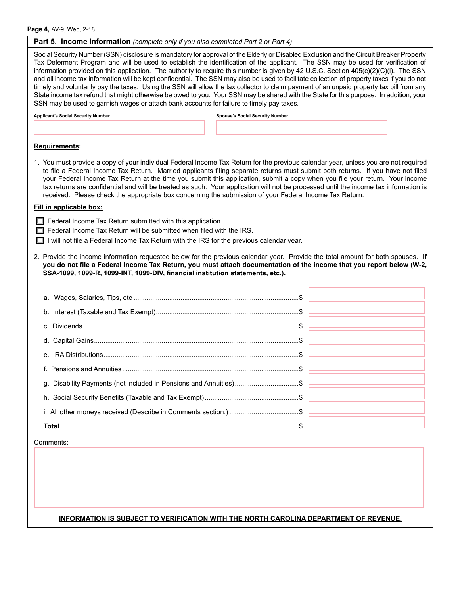**Part 5. Income Information** *(complete only if you also completed Part 2 or Part 4)* Social Security Number (SSN) disclosure is mandatory for approval of the Elderly or Disabled Exclusion and the Circuit Breaker Property Tax Deferment Program and will be used to establish the identification of the applicant. The SSN may be used for verification of information provided on this application. The authority to require this number is given by 42 U.S.C. Section 405(c)(2)(C)(i). The SSN and all income tax information will be kept confidential. The SSN may also be used to facilitate collection of property taxes if you do not timely and voluntarily pay the taxes. Using the SSN will allow the tax collector to claim payment of an unpaid property tax bill from any State income tax refund that might otherwise be owed to you. Your SSN may be shared with the State for this purpose. In addition, your SSN may be used to garnish wages or attach bank accounts for failure to timely pay taxes. **Applicant's Social Security Number Spouse's Social Security Number Requirements:** 1. You must provide a copy of your individual Federal Income Tax Return for the previous calendar year, unless you are not required to file a Federal Income Tax Return. Married applicants filing separate returns must submit both returns. If you have not filed your Federal Income Tax Return at the time you submit this application, submit a copy when you file your return. Your income tax returns are confidential and will be treated as such. Your application will not be processed until the income tax information is received. Please check the appropriate box concerning the submission of your Federal Income Tax Return.  $\Box$  Federal Income Tax Return submitted with this application. Federal Income Tax Return will be submitted when filed with the IRS.  $\Box$  I will not file a Federal Income Tax Return with the IRS for the previous calendar year. 2. Provide the income information requested below for the previous calendar year. Provide the total amount for both spouses. **If you do not file a Federal Income Tax Return, you must attach documentation of the income that you report below (W-2, SSA-1099, 1099-R, 1099-INT, 1099-DIV, financial institution statements, etc.). Fill in applicable box:**

| g. Disability Payments (not included in Pensions and Annuities)\$ |  |
|-------------------------------------------------------------------|--|
|                                                                   |  |
|                                                                   |  |
| <b>Total</b>                                                      |  |
|                                                                   |  |

Comments:

#### **INFORMATION IS SUBJECT TO VERIFICATION WITH THE NORTH CAROLINA DEPARTMENT OF REVENUE.**